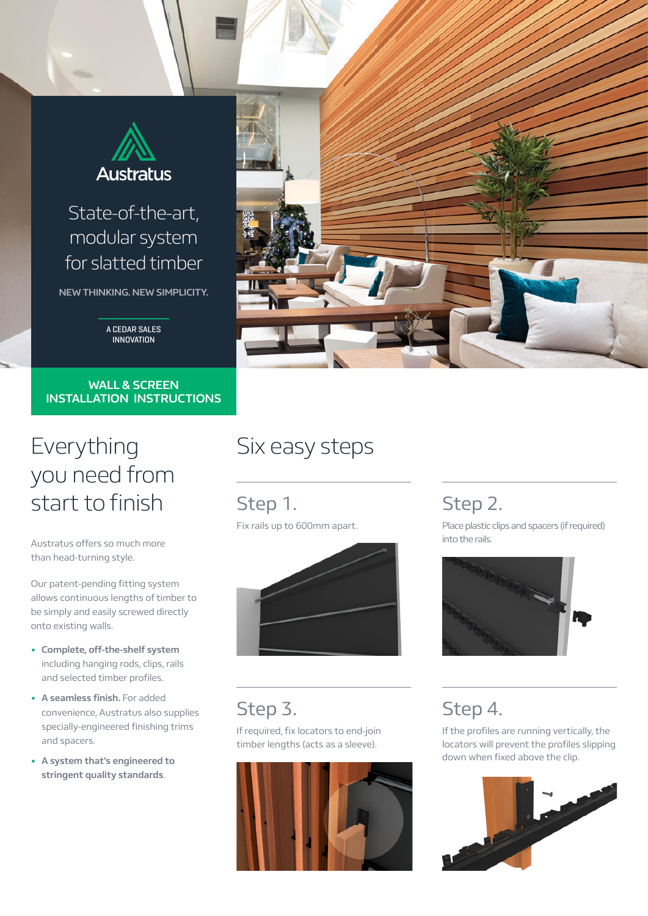

### State-of-the-art, modular system for slatted timber

**NEW THINKING. NEW SIMPLICITY.**

A CEDAR SALES INNOVATION

#### **WALL & SCREEN INSTALLATION INSTRUCTIONS**

## Everything you need from start to finish

Austratus offers so much more than head-turning style.

Our patent-pending fitting system allows continuous lengths of timber to be simply and easily screwed directly onto existing walls.

- **• Complete, off-the-shelf system** including hanging rods, clips, rails and selected timber profiles.
- **• A seamless finish.** For added convenience, Austratus also supplies specially-engineered finishing trims and spacers.
- **• A system that's engineered to stringent quality standards**.

# Six easy steps

Step 1. Fix rails up to 600mm apart.



## Step 3.

If required, fix locators to end-join timber lengths (acts as a sleeve).



#### Step 2.

Place plastic clips and spacers (if required) into the rails.



### Step 4.

If the profiles are running vertically, the locators will prevent the profiles slipping down when fixed above the clip.